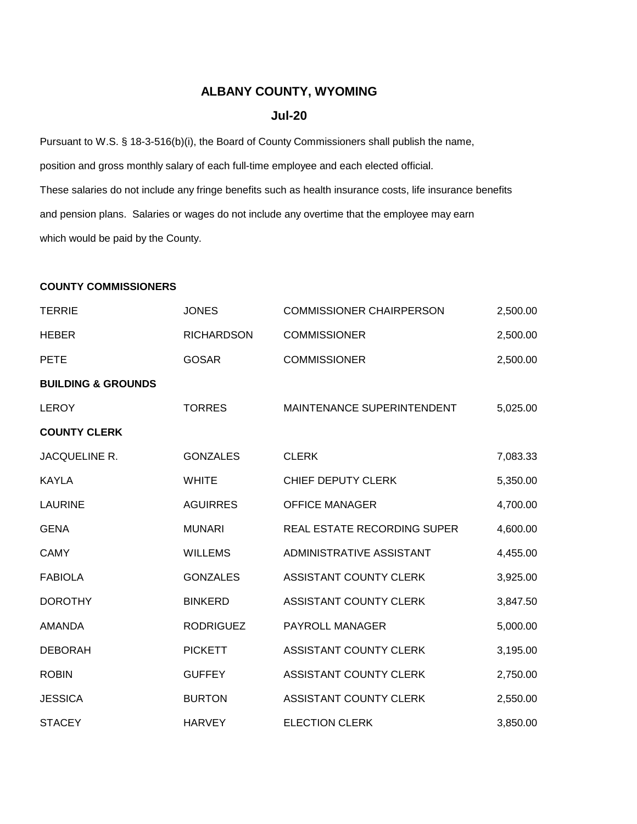## **ALBANY COUNTY, WYOMING**

## **Jul-20**

Pursuant to W.S. § 18-3-516(b)(i), the Board of County Commissioners shall publish the name, position and gross monthly salary of each full-time employee and each elected official. These salaries do not include any fringe benefits such as health insurance costs, life insurance benefits and pension plans. Salaries or wages do not include any overtime that the employee may earn which would be paid by the County.

## **COUNTY COMMISSIONERS**

| <b>TERRIE</b>                 | <b>JONES</b>      | <b>COMMISSIONER CHAIRPERSON</b> | 2,500.00 |
|-------------------------------|-------------------|---------------------------------|----------|
| <b>HEBER</b>                  | <b>RICHARDSON</b> | <b>COMMISSIONER</b>             | 2,500.00 |
| <b>PETE</b>                   | <b>GOSAR</b>      | <b>COMMISSIONER</b>             | 2,500.00 |
| <b>BUILDING &amp; GROUNDS</b> |                   |                                 |          |
| <b>LEROY</b>                  | <b>TORRES</b>     | MAINTENANCE SUPERINTENDENT      | 5,025.00 |
| <b>COUNTY CLERK</b>           |                   |                                 |          |
| JACQUELINE R.                 | <b>GONZALES</b>   | <b>CLERK</b>                    | 7,083.33 |
| <b>KAYLA</b>                  | <b>WHITE</b>      | CHIEF DEPUTY CLERK              | 5,350.00 |
| <b>LAURINE</b>                | <b>AGUIRRES</b>   | <b>OFFICE MANAGER</b>           | 4,700.00 |
| <b>GENA</b>                   | <b>MUNARI</b>     | REAL ESTATE RECORDING SUPER     | 4,600.00 |
| <b>CAMY</b>                   | <b>WILLEMS</b>    | ADMINISTRATIVE ASSISTANT        | 4,455.00 |
| <b>FABIOLA</b>                | <b>GONZALES</b>   | ASSISTANT COUNTY CLERK          | 3,925.00 |
| <b>DOROTHY</b>                | <b>BINKERD</b>    | ASSISTANT COUNTY CLERK          | 3,847.50 |
| <b>AMANDA</b>                 | <b>RODRIGUEZ</b>  | PAYROLL MANAGER                 | 5,000.00 |
| <b>DEBORAH</b>                | <b>PICKETT</b>    | ASSISTANT COUNTY CLERK          | 3,195.00 |
| <b>ROBIN</b>                  | <b>GUFFEY</b>     | <b>ASSISTANT COUNTY CLERK</b>   | 2,750.00 |
| <b>JESSICA</b>                | <b>BURTON</b>     | ASSISTANT COUNTY CLERK          | 2,550.00 |
| <b>STACEY</b>                 | <b>HARVEY</b>     | <b>ELECTION CLERK</b>           | 3,850.00 |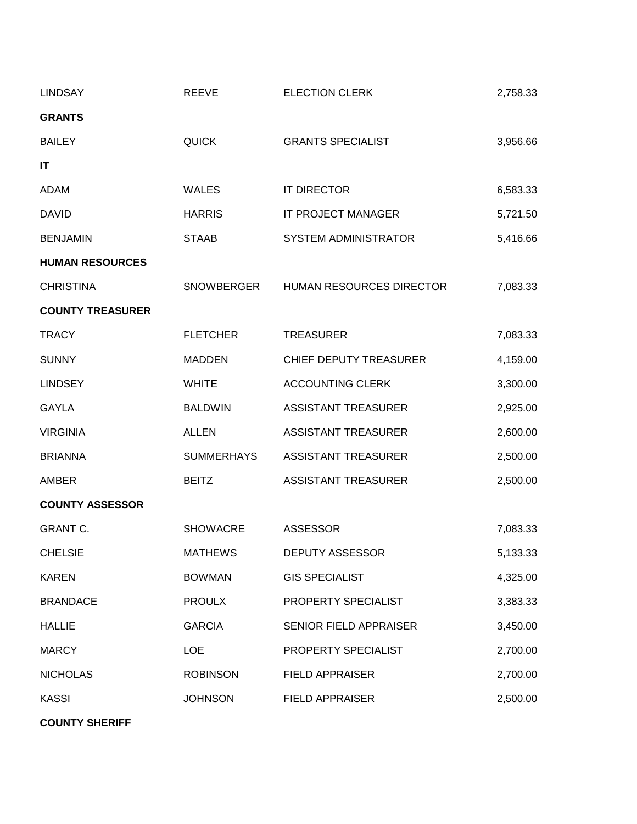| <b>LINDSAY</b>          | <b>REEVE</b>      | <b>ELECTION CLERK</b>         | 2,758.33 |
|-------------------------|-------------------|-------------------------------|----------|
| <b>GRANTS</b>           |                   |                               |          |
| <b>BAILEY</b>           | <b>QUICK</b>      | <b>GRANTS SPECIALIST</b>      | 3,956.66 |
| IT                      |                   |                               |          |
| ADAM                    | <b>WALES</b>      | IT DIRECTOR                   | 6,583.33 |
| <b>DAVID</b>            | <b>HARRIS</b>     | IT PROJECT MANAGER            | 5,721.50 |
| <b>BENJAMIN</b>         | <b>STAAB</b>      | SYSTEM ADMINISTRATOR          | 5,416.66 |
| <b>HUMAN RESOURCES</b>  |                   |                               |          |
| <b>CHRISTINA</b>        | SNOWBERGER        | HUMAN RESOURCES DIRECTOR      | 7,083.33 |
| <b>COUNTY TREASURER</b> |                   |                               |          |
| <b>TRACY</b>            | <b>FLETCHER</b>   | <b>TREASURER</b>              | 7,083.33 |
| <b>SUNNY</b>            | <b>MADDEN</b>     | <b>CHIEF DEPUTY TREASURER</b> | 4,159.00 |
| <b>LINDSEY</b>          | <b>WHITE</b>      | <b>ACCOUNTING CLERK</b>       | 3,300.00 |
| <b>GAYLA</b>            | <b>BALDWIN</b>    | <b>ASSISTANT TREASURER</b>    | 2,925.00 |
| <b>VIRGINIA</b>         | <b>ALLEN</b>      | <b>ASSISTANT TREASURER</b>    | 2,600.00 |
| <b>BRIANNA</b>          | <b>SUMMERHAYS</b> | <b>ASSISTANT TREASURER</b>    | 2,500.00 |
| <b>AMBER</b>            | <b>BEITZ</b>      | <b>ASSISTANT TREASURER</b>    | 2,500.00 |
| <b>COUNTY ASSESSOR</b>  |                   |                               |          |
| <b>GRANT C.</b>         | <b>SHOWACRE</b>   | <b>ASSESSOR</b>               | 7,083.33 |
| <b>CHELSIE</b>          | <b>MATHEWS</b>    | <b>DEPUTY ASSESSOR</b>        | 5,133.33 |
| <b>KAREN</b>            | <b>BOWMAN</b>     | <b>GIS SPECIALIST</b>         | 4,325.00 |
| <b>BRANDACE</b>         | <b>PROULX</b>     | PROPERTY SPECIALIST           | 3,383.33 |
| <b>HALLIE</b>           | <b>GARCIA</b>     | SENIOR FIELD APPRAISER        | 3,450.00 |
| <b>MARCY</b>            | <b>LOE</b>        | PROPERTY SPECIALIST           | 2,700.00 |
| <b>NICHOLAS</b>         | <b>ROBINSON</b>   | <b>FIELD APPRAISER</b>        | 2,700.00 |
| <b>KASSI</b>            | <b>JOHNSON</b>    | <b>FIELD APPRAISER</b>        | 2,500.00 |

**COUNTY SHERIFF**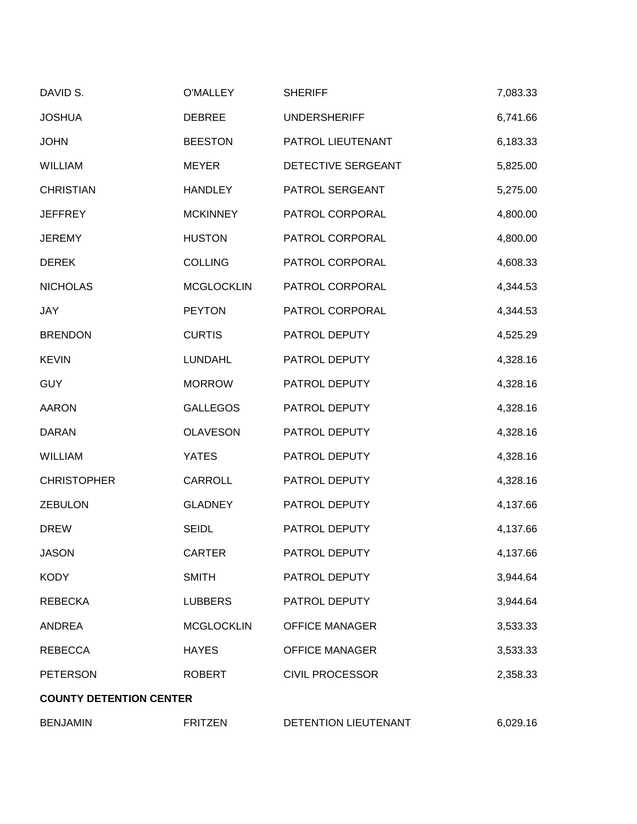| DAVID S.                       | <b>O'MALLEY</b>   | <b>SHERIFF</b>         | 7,083.33 |
|--------------------------------|-------------------|------------------------|----------|
| <b>JOSHUA</b>                  | <b>DEBREE</b>     | <b>UNDERSHERIFF</b>    | 6,741.66 |
| <b>JOHN</b>                    | <b>BEESTON</b>    | PATROL LIEUTENANT      | 6,183.33 |
| <b>WILLIAM</b>                 | <b>MEYER</b>      | DETECTIVE SERGEANT     | 5,825.00 |
| <b>CHRISTIAN</b>               | <b>HANDLEY</b>    | PATROL SERGEANT        | 5,275.00 |
| <b>JEFFREY</b>                 | <b>MCKINNEY</b>   | PATROL CORPORAL        | 4,800.00 |
| <b>JEREMY</b>                  | <b>HUSTON</b>     | PATROL CORPORAL        | 4,800.00 |
| <b>DEREK</b>                   | <b>COLLING</b>    | PATROL CORPORAL        | 4,608.33 |
| <b>NICHOLAS</b>                | <b>MCGLOCKLIN</b> | PATROL CORPORAL        | 4,344.53 |
| <b>JAY</b>                     | <b>PEYTON</b>     | PATROL CORPORAL        | 4,344.53 |
| <b>BRENDON</b>                 | <b>CURTIS</b>     | PATROL DEPUTY          | 4,525.29 |
| <b>KEVIN</b>                   | <b>LUNDAHL</b>    | PATROL DEPUTY          | 4,328.16 |
| <b>GUY</b>                     | <b>MORROW</b>     | PATROL DEPUTY          | 4,328.16 |
| <b>AARON</b>                   | <b>GALLEGOS</b>   | PATROL DEPUTY          | 4,328.16 |
| <b>DARAN</b>                   | <b>OLAVESON</b>   | PATROL DEPUTY          | 4,328.16 |
| <b>WILLIAM</b>                 | <b>YATES</b>      | PATROL DEPUTY          | 4,328.16 |
| <b>CHRISTOPHER</b>             | CARROLL           | PATROL DEPUTY          | 4,328.16 |
| <b>ZEBULON</b>                 | <b>GLADNEY</b>    | PATROL DEPUTY          | 4,137.66 |
| <b>DREW</b>                    | <b>SEIDL</b>      | PATROL DEPUTY          | 4,137.66 |
| <b>JASON</b>                   | <b>CARTER</b>     | PATROL DEPUTY          | 4,137.66 |
| <b>KODY</b>                    | <b>SMITH</b>      | PATROL DEPUTY          | 3,944.64 |
| <b>REBECKA</b>                 | <b>LUBBERS</b>    | PATROL DEPUTY          | 3,944.64 |
| <b>ANDREA</b>                  | <b>MCGLOCKLIN</b> | <b>OFFICE MANAGER</b>  | 3,533.33 |
| <b>REBECCA</b>                 | <b>HAYES</b>      | <b>OFFICE MANAGER</b>  | 3,533.33 |
| <b>PETERSON</b>                | <b>ROBERT</b>     | <b>CIVIL PROCESSOR</b> | 2,358.33 |
| <b>COUNTY DETENTION CENTER</b> |                   |                        |          |
| <b>BENJAMIN</b>                | <b>FRITZEN</b>    | DETENTION LIEUTENANT   | 6,029.16 |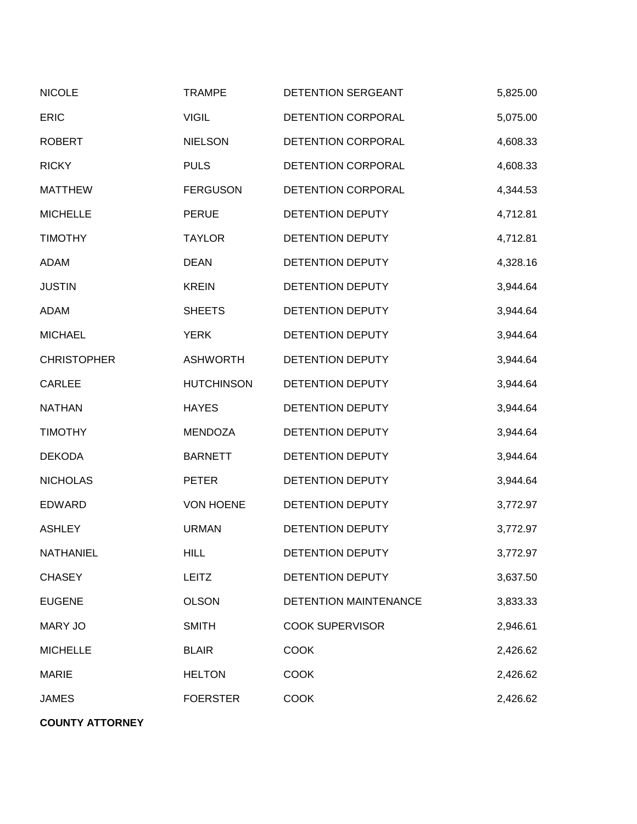| <b>NICOLE</b>      | <b>TRAMPE</b>     | DETENTION SERGEANT     | 5,825.00 |
|--------------------|-------------------|------------------------|----------|
| <b>ERIC</b>        | <b>VIGIL</b>      | DETENTION CORPORAL     | 5,075.00 |
| <b>ROBERT</b>      | <b>NIELSON</b>    | DETENTION CORPORAL     | 4,608.33 |
| <b>RICKY</b>       | <b>PULS</b>       | DETENTION CORPORAL     | 4,608.33 |
| <b>MATTHEW</b>     | <b>FERGUSON</b>   | DETENTION CORPORAL     | 4,344.53 |
| <b>MICHELLE</b>    | <b>PERUE</b>      | DETENTION DEPUTY       | 4,712.81 |
| <b>TIMOTHY</b>     | <b>TAYLOR</b>     | DETENTION DEPUTY       | 4,712.81 |
| <b>ADAM</b>        | <b>DEAN</b>       | DETENTION DEPUTY       | 4,328.16 |
| <b>JUSTIN</b>      | <b>KREIN</b>      | DETENTION DEPUTY       | 3,944.64 |
| <b>ADAM</b>        | <b>SHEETS</b>     | DETENTION DEPUTY       | 3,944.64 |
| <b>MICHAEL</b>     | <b>YERK</b>       | DETENTION DEPUTY       | 3,944.64 |
| <b>CHRISTOPHER</b> | <b>ASHWORTH</b>   | DETENTION DEPUTY       | 3,944.64 |
| <b>CARLEE</b>      | <b>HUTCHINSON</b> | DETENTION DEPUTY       | 3,944.64 |
| <b>NATHAN</b>      | <b>HAYES</b>      | DETENTION DEPUTY       | 3,944.64 |
| <b>TIMOTHY</b>     | <b>MENDOZA</b>    | DETENTION DEPUTY       | 3,944.64 |
| <b>DEKODA</b>      | <b>BARNETT</b>    | DETENTION DEPUTY       | 3,944.64 |
| <b>NICHOLAS</b>    | <b>PETER</b>      | DETENTION DEPUTY       | 3,944.64 |
| <b>EDWARD</b>      | <b>VON HOENE</b>  | DETENTION DEPUTY       | 3,772.97 |
| <b>ASHLEY</b>      | <b>URMAN</b>      | DETENTION DEPUTY       | 3,772.97 |
| <b>NATHANIEL</b>   | <b>HILL</b>       | DETENTION DEPUTY       | 3,772.97 |
| <b>CHASEY</b>      | <b>LEITZ</b>      | DETENTION DEPUTY       | 3,637.50 |
| <b>EUGENE</b>      | <b>OLSON</b>      | DETENTION MAINTENANCE  | 3,833.33 |
| <b>MARY JO</b>     | <b>SMITH</b>      | <b>COOK SUPERVISOR</b> | 2,946.61 |
| <b>MICHELLE</b>    | <b>BLAIR</b>      | <b>COOK</b>            | 2,426.62 |
| <b>MARIE</b>       | <b>HELTON</b>     | <b>COOK</b>            | 2,426.62 |
| <b>JAMES</b>       | <b>FOERSTER</b>   | <b>COOK</b>            | 2,426.62 |

**COUNTY ATTORNEY**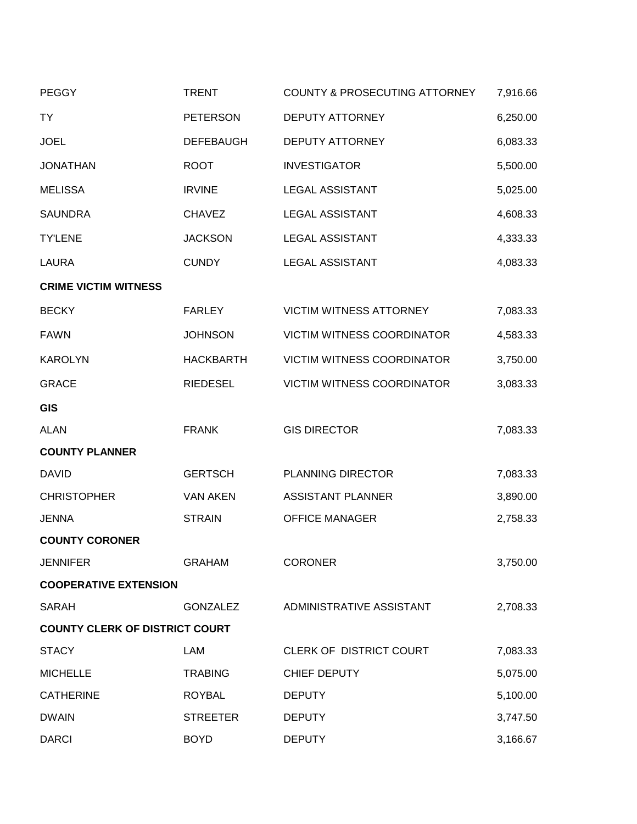| <b>PEGGY</b>                          | <b>TRENT</b>     | COUNTY & PROSECUTING ATTORNEY     | 7,916.66 |  |
|---------------------------------------|------------------|-----------------------------------|----------|--|
| <b>TY</b>                             | <b>PETERSON</b>  | <b>DEPUTY ATTORNEY</b>            | 6,250.00 |  |
| <b>JOEL</b>                           | <b>DEFEBAUGH</b> | <b>DEPUTY ATTORNEY</b>            | 6,083.33 |  |
| <b>JONATHAN</b>                       | <b>ROOT</b>      | <b>INVESTIGATOR</b>               | 5,500.00 |  |
| <b>MELISSA</b>                        | <b>IRVINE</b>    | <b>LEGAL ASSISTANT</b>            | 5,025.00 |  |
| <b>SAUNDRA</b>                        | <b>CHAVEZ</b>    | <b>LEGAL ASSISTANT</b>            | 4,608.33 |  |
| <b>TY'LENE</b>                        | <b>JACKSON</b>   | <b>LEGAL ASSISTANT</b>            | 4,333.33 |  |
| <b>LAURA</b>                          | <b>CUNDY</b>     | <b>LEGAL ASSISTANT</b>            | 4,083.33 |  |
| <b>CRIME VICTIM WITNESS</b>           |                  |                                   |          |  |
| <b>BECKY</b>                          | <b>FARLEY</b>    | <b>VICTIM WITNESS ATTORNEY</b>    | 7,083.33 |  |
| <b>FAWN</b>                           | <b>JOHNSON</b>   | <b>VICTIM WITNESS COORDINATOR</b> | 4,583.33 |  |
| <b>KAROLYN</b>                        | <b>HACKBARTH</b> | VICTIM WITNESS COORDINATOR        | 3,750.00 |  |
| <b>GRACE</b>                          | <b>RIEDESEL</b>  | <b>VICTIM WITNESS COORDINATOR</b> | 3,083.33 |  |
| <b>GIS</b>                            |                  |                                   |          |  |
| <b>ALAN</b>                           | <b>FRANK</b>     | <b>GIS DIRECTOR</b>               | 7,083.33 |  |
| <b>COUNTY PLANNER</b>                 |                  |                                   |          |  |
| <b>DAVID</b>                          | <b>GERTSCH</b>   | PLANNING DIRECTOR                 | 7,083.33 |  |
| <b>CHRISTOPHER</b>                    | <b>VAN AKEN</b>  | <b>ASSISTANT PLANNER</b>          | 3,890.00 |  |
| <b>JENNA</b>                          | <b>STRAIN</b>    | <b>OFFICE MANAGER</b>             | 2,758.33 |  |
| <b>COUNTY CORONER</b>                 |                  |                                   |          |  |
| <b>JENNIFER</b>                       | <b>GRAHAM</b>    | <b>CORONER</b>                    | 3,750.00 |  |
| <b>COOPERATIVE EXTENSION</b>          |                  |                                   |          |  |
| <b>SARAH</b>                          | <b>GONZALEZ</b>  | ADMINISTRATIVE ASSISTANT          | 2,708.33 |  |
| <b>COUNTY CLERK OF DISTRICT COURT</b> |                  |                                   |          |  |
| <b>STACY</b>                          | LAM              | <b>CLERK OF DISTRICT COURT</b>    | 7,083.33 |  |
| <b>MICHELLE</b>                       | <b>TRABING</b>   | CHIEF DEPUTY                      | 5,075.00 |  |
| <b>CATHERINE</b>                      | <b>ROYBAL</b>    | <b>DEPUTY</b>                     | 5,100.00 |  |
| <b>DWAIN</b>                          | <b>STREETER</b>  | <b>DEPUTY</b>                     | 3,747.50 |  |
| <b>DARCI</b>                          | <b>BOYD</b>      | <b>DEPUTY</b>                     | 3,166.67 |  |